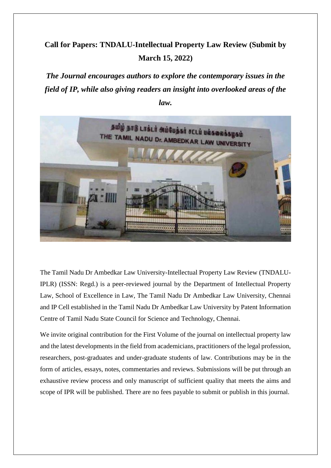# **Call for Papers: TNDALU-Intellectual Property Law Review (Submit by March 15, 2022)**

*The Journal encourages authors to explore the contemporary issues in the field of IP, while also giving readers an insight into overlooked areas of the law.*



The Tamil Nadu Dr Ambedkar Law University-Intellectual Property Law Review (TNDALU-IPLR) (ISSN: Regd.) is a peer-reviewed journal by the Department of Intellectual Property Law, School of Excellence in Law, The Tamil Nadu Dr Ambedkar Law University, Chennai and IP Cell established in the Tamil Nadu Dr Ambedkar Law University by Patent Information Centre of Tamil Nadu State Council for Science and Technology, Chennai.

We invite original contribution for the First Volume of the journal on intellectual property law and the latest developments in the field from academicians, practitioners of the legal profession, researchers, post-graduates and under-graduate students of law. Contributions may be in the form of articles, essays, notes, commentaries and reviews. Submissions will be put through an exhaustive review process and only manuscript of sufficient quality that meets the aims and scope of IPR will be published. There are no fees payable to submit or publish in this journal.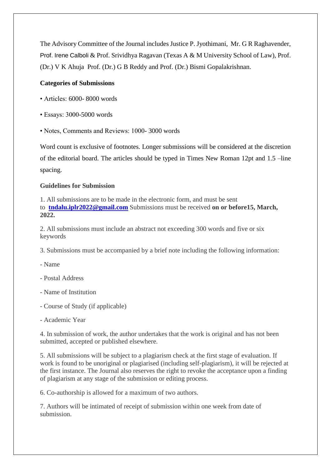The Advisory Committee of the Journal includes Justice P. Jyothimani, Mr. G R Raghavender, Prof. Irene Calboli & Prof. Srividhya Ragavan (Texas A & M University School of Law), Prof. (Dr.) V K Ahuja Prof. (Dr.) G B Reddy and Prof. (Dr.) Bismi Gopalakrishnan.

#### **Categories of Submissions**

- Articles: 6000-8000 words
- Essays: 3000-5000 words
- Notes, Comments and Reviews: 1000- 3000 words

Word count is exclusive of footnotes. Longer submissions will be considered at the discretion of the editorial board. The articles should be typed in Times New Roman 12pt and 1.5 –line spacing.

#### **Guidelines for Submission**

1. All submissions are to be made in the electronic form, and must be sent to **[tndalu.iplr2022@gmail.com](mailto:tndalu.iplr2022@gmail.com)** Submissions must be received **on or before15, March, 2022.**

2. All submissions must include an abstract not exceeding 300 words and five or six keywords

3. Submissions must be accompanied by a brief note including the following information:

- Name
- Postal Address
- Name of Institution
- Course of Study (if applicable)
- Academic Year

4. In submission of work, the author undertakes that the work is original and has not been submitted, accepted or published elsewhere.

5. All submissions will be subject to a plagiarism check at the first stage of evaluation. If work is found to be unoriginal or plagiarised (including self-plagiarism), it will be rejected at the first instance. The Journal also reserves the right to revoke the acceptance upon a finding of plagiarism at any stage of the submission or editing process.

6. Co-authorship is allowed for a maximum of two authors.

7. Authors will be intimated of receipt of submission within one week from date of submission.